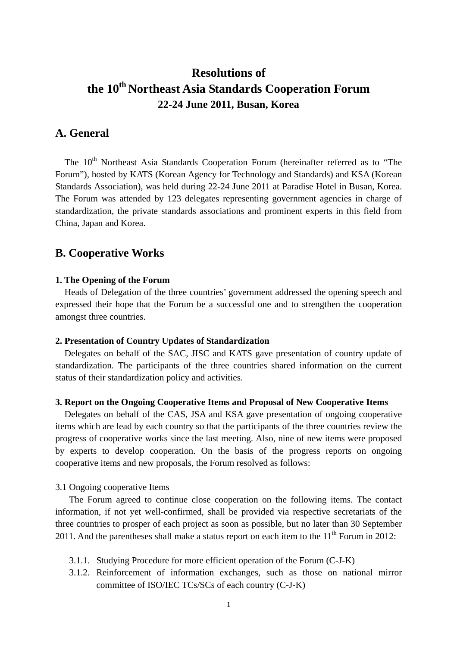# **Resolutions of the 10th Northeast Asia Standards Cooperation Forum 22-24 June 2011, Busan, Korea**

# **A. General**

The 10<sup>th</sup> Northeast Asia Standards Cooperation Forum (hereinafter referred as to "The Forum"), hosted by KATS (Korean Agency for Technology and Standards) and KSA (Korean Standards Association), was held during 22-24 June 2011 at Paradise Hotel in Busan, Korea. The Forum was attended by 123 delegates representing government agencies in charge of standardization, the private standards associations and prominent experts in this field from China, Japan and Korea.

# **B. Cooperative Works**

# **1. The Opening of the Forum**

Heads of Delegation of the three countries' government addressed the opening speech and expressed their hope that the Forum be a successful one and to strengthen the cooperation amongst three countries.

#### **2. Presentation of Country Updates of Standardization**

Delegates on behalf of the SAC, JISC and KATS gave presentation of country update of standardization. The participants of the three countries shared information on the current status of their standardization policy and activities.

# **3. Report on the Ongoing Cooperative Items and Proposal of New Cooperative Items**

Delegates on behalf of the CAS, JSA and KSA gave presentation of ongoing cooperative items which are lead by each country so that the participants of the three countries review the progress of cooperative works since the last meeting. Also, nine of new items were proposed by experts to develop cooperation. On the basis of the progress reports on ongoing cooperative items and new proposals, the Forum resolved as follows:

# 3.1 Ongoing cooperative Items

The Forum agreed to continue close cooperation on the following items. The contact information, if not yet well-confirmed, shall be provided via respective secretariats of the three countries to prosper of each project as soon as possible, but no later than 30 September 2011. And the parentheses shall make a status report on each item to the  $11<sup>th</sup>$  Forum in 2012:

- 3.1.1. Studying Procedure for more efficient operation of the Forum (C-J-K)
- 3.1.2. Reinforcement of information exchanges, such as those on national mirror committee of ISO/IEC TCs/SCs of each country (C-J-K)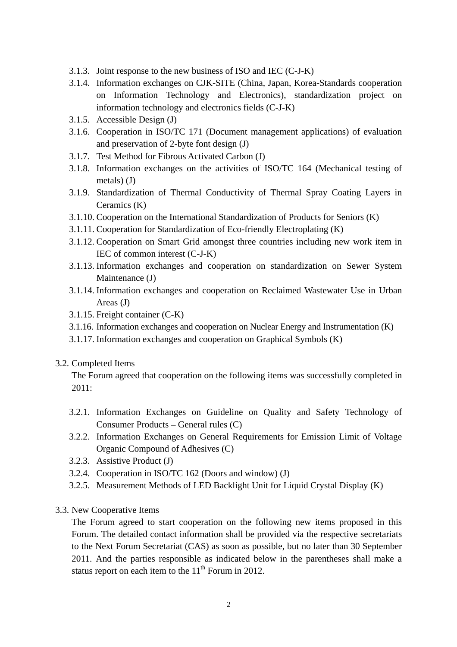- 3.1.3. Joint response to the new business of ISO and IEC (C-J-K)
- 3.1.4. Information exchanges on CJK-SITE (China, Japan, Korea-Standards cooperation on Information Technology and Electronics), standardization project on information technology and electronics fields (C-J-K)
- 3.1.5. Accessible Design (J)
- 3.1.6. Cooperation in ISO/TC 171 (Document management applications) of evaluation and preservation of 2-byte font design (J)
- 3.1.7. Test Method for Fibrous Activated Carbon (J)
- 3.1.8. Information exchanges on the activities of ISO/TC 164 (Mechanical testing of metals) (J)
- 3.1.9. Standardization of Thermal Conductivity of Thermal Spray Coating Layers in Ceramics (K)
- 3.1.10. Cooperation on the International Standardization of Products for Seniors (K)
- 3.1.11. Cooperation for Standardization of Eco-friendly Electroplating (K)
- 3.1.12. Cooperation on Smart Grid amongst three countries including new work item in IEC of common interest (C-J-K)
- 3.1.13. Information exchanges and cooperation on standardization on Sewer System Maintenance (J)
- 3.1.14. Information exchanges and cooperation on Reclaimed Wastewater Use in Urban Areas (J)
- 3.1.15. Freight container (C-K)
- 3.1.16. Information exchanges and cooperation on Nuclear Energy and Instrumentation (K)
- 3.1.17. Information exchanges and cooperation on Graphical Symbols (K)
- 3.2. Completed Items

The Forum agreed that cooperation on the following items was successfully completed in 2011:

- 3.2.1. Information Exchanges on Guideline on Quality and Safety Technology of Consumer Products – General rules (C)
- 3.2.2. Information Exchanges on General Requirements for Emission Limit of Voltage Organic Compound of Adhesives (C)
- 3.2.3. Assistive Product (J)
- 3.2.4. Cooperation in ISO/TC 162 (Doors and window) (J)
- 3.2.5. Measurement Methods of LED Backlight Unit for Liquid Crystal Display (K)
- 3.3. New Cooperative Items

The Forum agreed to start cooperation on the following new items proposed in this Forum. The detailed contact information shall be provided via the respective secretariats to the Next Forum Secretariat (CAS) as soon as possible, but no later than 30 September 2011. And the parties responsible as indicated below in the parentheses shall make a status report on each item to the  $11<sup>th</sup>$  Forum in 2012.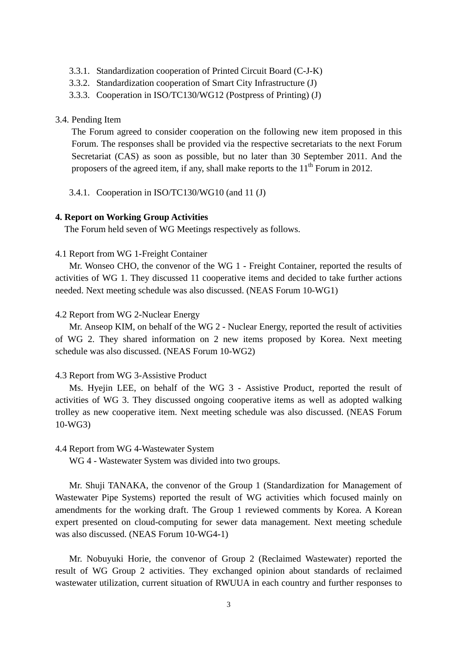- 3.3.1. Standardization cooperation of Printed Circuit Board (C-J-K)
- 3.3.2. Standardization cooperation of Smart City Infrastructure (J)
- 3.3.3. Cooperation in ISO/TC130/WG12 (Postpress of Printing) (J)

#### 3.4. Pending Item

The Forum agreed to consider cooperation on the following new item proposed in this Forum. The responses shall be provided via the respective secretariats to the next Forum Secretariat (CAS) as soon as possible, but no later than 30 September 2011. And the proposers of the agreed item, if any, shall make reports to the  $11<sup>th</sup>$  Forum in 2012.

3.4.1. Cooperation in ISO/TC130/WG10 (and 11 (J)

## **4. Report on Working Group Activities**

The Forum held seven of WG Meetings respectively as follows.

#### 4.1 Report from WG 1-Freight Container

 Mr. Wonseo CHO, the convenor of the WG 1 - Freight Container, reported the results of activities of WG 1. They discussed 11 cooperative items and decided to take further actions needed. Next meeting schedule was also discussed. (NEAS Forum 10-WG1)

# 4.2 Report from WG 2-Nuclear Energy

 Mr. Anseop KIM, on behalf of the WG 2 - Nuclear Energy, reported the result of activities of WG 2. They shared information on 2 new items proposed by Korea. Next meeting schedule was also discussed. (NEAS Forum 10-WG2)

# 4.3 Report from WG 3-Assistive Product

Ms. Hyejin LEE, on behalf of the WG 3 - Assistive Product, reported the result of activities of WG 3. They discussed ongoing cooperative items as well as adopted walking trolley as new cooperative item. Next meeting schedule was also discussed. (NEAS Forum 10-WG3)

## 4.4 Report from WG 4-Wastewater System

WG 4 - Wastewater System was divided into two groups.

Mr. Shuji TANAKA, the convenor of the Group 1 (Standardization for Management of Wastewater Pipe Systems) reported the result of WG activities which focused mainly on amendments for the working draft. The Group 1 reviewed comments by Korea. A Korean expert presented on cloud-computing for sewer data management. Next meeting schedule was also discussed. (NEAS Forum 10-WG4-1)

Mr. Nobuyuki Horie, the convenor of Group 2 (Reclaimed Wastewater) reported the result of WG Group 2 activities. They exchanged opinion about standards of reclaimed wastewater utilization, current situation of RWUUA in each country and further responses to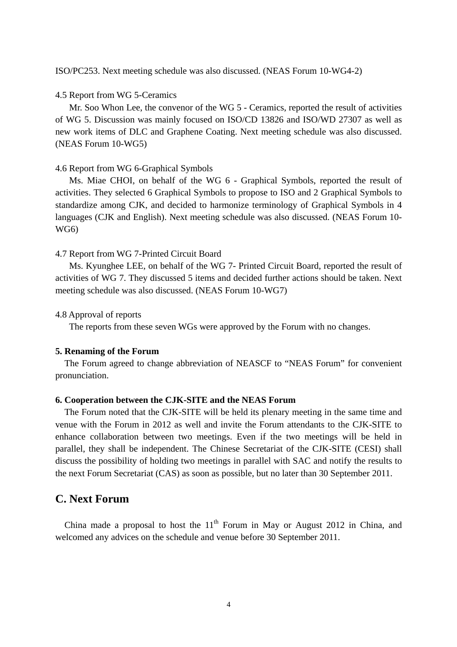ISO/PC253. Next meeting schedule was also discussed. (NEAS Forum 10-WG4-2)

#### 4.5 Report from WG 5-Ceramics

Mr. Soo Whon Lee, the convenor of the WG 5 - Ceramics, reported the result of activities of WG 5. Discussion was mainly focused on ISO/CD 13826 and ISO/WD 27307 as well as new work items of DLC and Graphene Coating. Next meeting schedule was also discussed. (NEAS Forum 10-WG5)

### 4.6 Report from WG 6-Graphical Symbols

Ms. Miae CHOI, on behalf of the WG 6 - Graphical Symbols, reported the result of activities. They selected 6 Graphical Symbols to propose to ISO and 2 Graphical Symbols to standardize among CJK, and decided to harmonize terminology of Graphical Symbols in 4 languages (CJK and English). Next meeting schedule was also discussed. (NEAS Forum 10- WG6)

#### 4.7 Report from WG 7-Printed Circuit Board

Ms. Kyunghee LEE, on behalf of the WG 7- Printed Circuit Board, reported the result of activities of WG 7. They discussed 5 items and decided further actions should be taken. Next meeting schedule was also discussed. (NEAS Forum 10-WG7)

#### 4.8 Approval of reports

The reports from these seven WGs were approved by the Forum with no changes.

#### **5. Renaming of the Forum**

The Forum agreed to change abbreviation of NEASCF to "NEAS Forum" for convenient pronunciation.

## **6. Cooperation between the CJK-SITE and the NEAS Forum**

The Forum noted that the CJK-SITE will be held its plenary meeting in the same time and venue with the Forum in 2012 as well and invite the Forum attendants to the CJK-SITE to enhance collaboration between two meetings. Even if the two meetings will be held in parallel, they shall be independent. The Chinese Secretariat of the CJK-SITE (CESI) shall discuss the possibility of holding two meetings in parallel with SAC and notify the results to the next Forum Secretariat (CAS) as soon as possible, but no later than 30 September 2011.

# **C. Next Forum**

China made a proposal to host the  $11<sup>th</sup>$  Forum in May or August 2012 in China, and welcomed any advices on the schedule and venue before 30 September 2011.